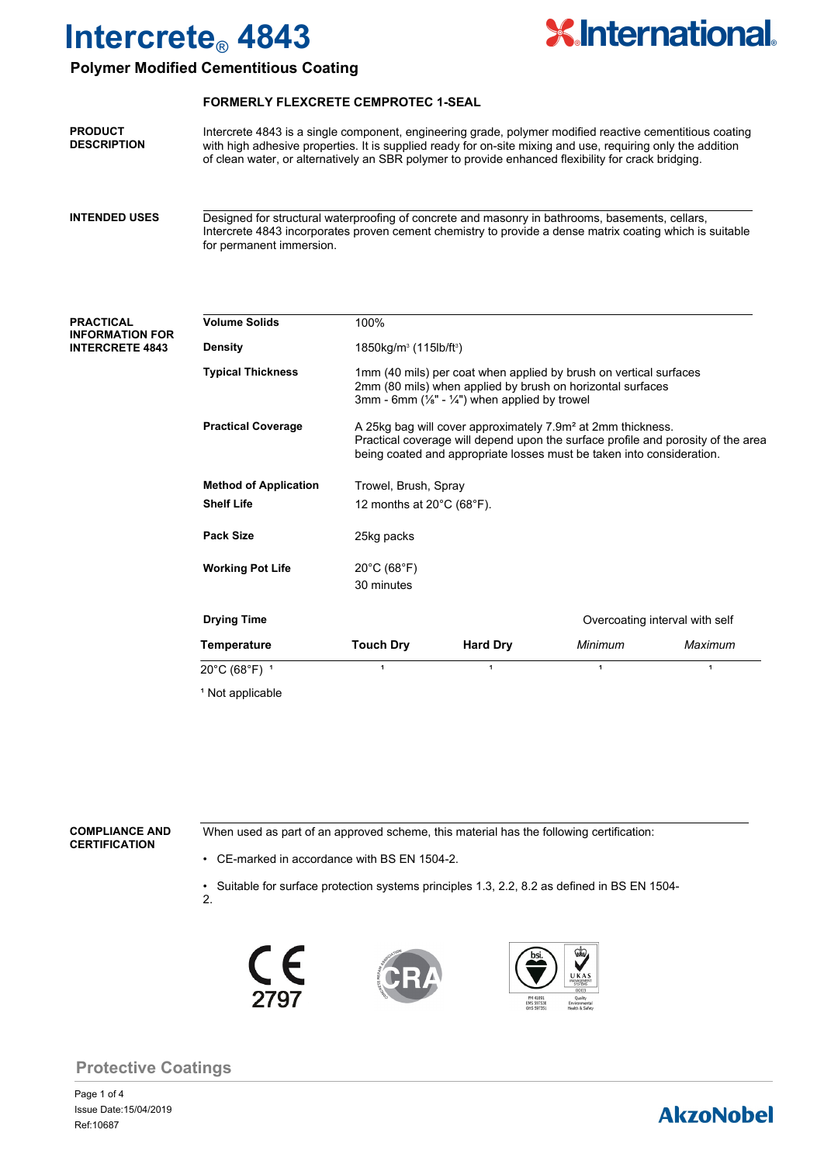

### **Polymer Modified Cementitious Coating**

#### **FORMERLY FLEXCRETE CEMPROTEC 1-SEAL**

Intercrete 4843 is a single component, engineering grade, polymer modified reactive cementitious coating with high adhesive properties. It is supplied ready for on-site mixing and use, requiring only the addition of clean water, or alternatively an SBR polymer to provide enhanced flexibility for crack bridging. **PRODUCT DESCRIPTION**

Designed for structural waterproofing of concrete and masonry in bathrooms, basements, cellars, Intercrete 4843 incorporates proven cement chemistry to provide a dense matrix coating which is suitable for permanent immersion. **INTENDED USES**

#### **PRACTICAL INFORMATION FOR INTERCRETE 4843**

| <b>Volume Solids</b>         | 100%                                                                                                                                                                                                                                 |                                                                                                                                                                                                          |         |                                |  |
|------------------------------|--------------------------------------------------------------------------------------------------------------------------------------------------------------------------------------------------------------------------------------|----------------------------------------------------------------------------------------------------------------------------------------------------------------------------------------------------------|---------|--------------------------------|--|
| <b>Density</b>               |                                                                                                                                                                                                                                      | $1850kg/m3$ (115lb/ft <sup>3</sup> )                                                                                                                                                                     |         |                                |  |
| <b>Typical Thickness</b>     |                                                                                                                                                                                                                                      | 1mm (40 mils) per coat when applied by brush on vertical surfaces<br>2mm (80 mils) when applied by brush on horizontal surfaces<br>3mm - 6mm ( $\frac{1}{8}$ " - $\frac{1}{4}$ ") when applied by trowel |         |                                |  |
| <b>Practical Coverage</b>    | A 25kg bag will cover approximately 7.9m <sup>2</sup> at 2mm thickness.<br>Practical coverage will depend upon the surface profile and porosity of the area<br>being coated and appropriate losses must be taken into consideration. |                                                                                                                                                                                                          |         |                                |  |
| <b>Method of Application</b> | Trowel, Brush, Spray                                                                                                                                                                                                                 |                                                                                                                                                                                                          |         |                                |  |
| <b>Shelf Life</b>            |                                                                                                                                                                                                                                      | 12 months at $20^{\circ}$ C (68 $^{\circ}$ F).                                                                                                                                                           |         |                                |  |
| <b>Pack Size</b>             | 25kg packs                                                                                                                                                                                                                           |                                                                                                                                                                                                          |         |                                |  |
| <b>Working Pot Life</b>      | $20^{\circ}$ C (68 $^{\circ}$ F)<br>30 minutes                                                                                                                                                                                       |                                                                                                                                                                                                          |         |                                |  |
| <b>Drying Time</b>           |                                                                                                                                                                                                                                      |                                                                                                                                                                                                          |         | Overcoating interval with self |  |
| Temperature                  | <b>Touch Dry</b>                                                                                                                                                                                                                     | <b>Hard Dry</b>                                                                                                                                                                                          | Minimum | Maximum                        |  |
| 20°C (68°F) 1                | $\mathbf{1}$                                                                                                                                                                                                                         | 1                                                                                                                                                                                                        | 1       | 1                              |  |
| <sup>1</sup> Not applicable  |                                                                                                                                                                                                                                      |                                                                                                                                                                                                          |         |                                |  |

#### **COMPLIANCE AND CERTIFICATION**

When used as part of an approved scheme, this material has the following certification:

• CE-marked in accordance with BS EN 1504-2.

• Suitable for surface protection systems principles 1.3, 2.2, 8.2 as defined in BS EN 1504- 2.







### **Protective Coatings**

Page 1 of 4 Ref:10687 Issue Date:15/04/2019

## **AkzoNobel**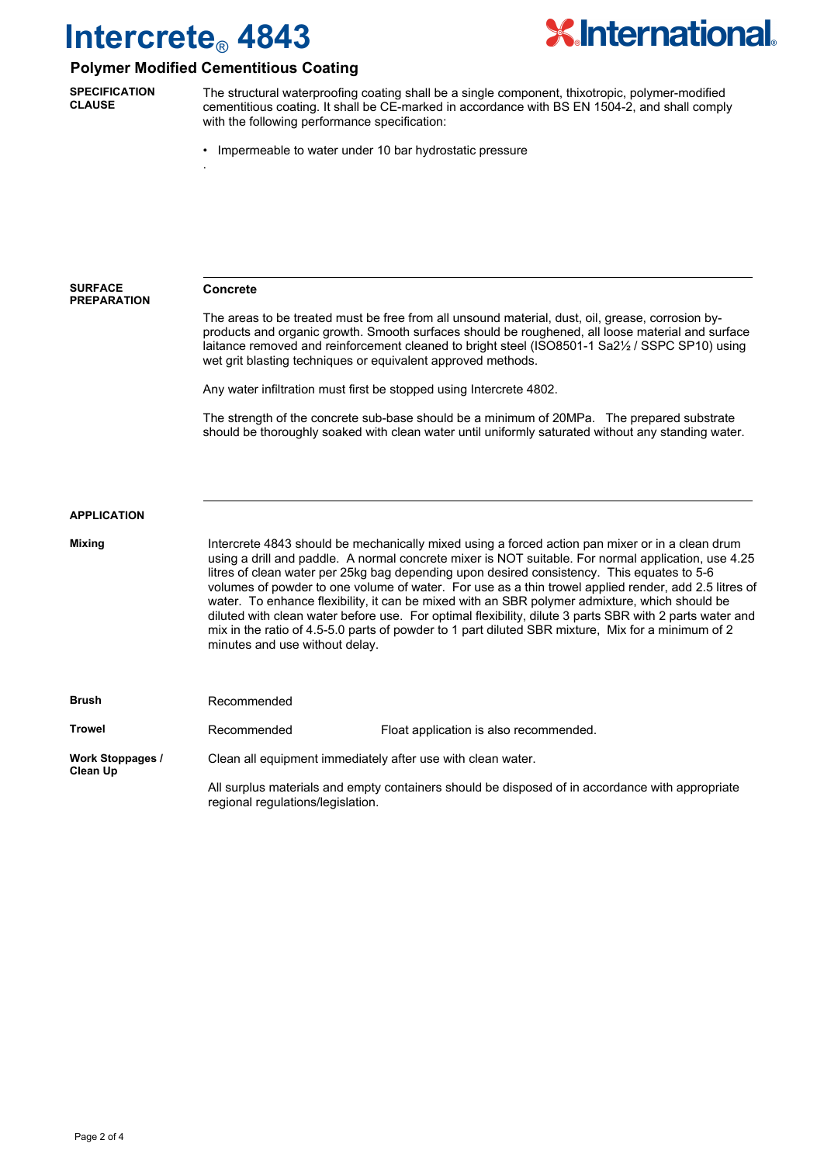

### **Polymer Modified Cementitious Coating**

.

**SPECIFICATION CLAUSE**

The structural waterproofing coating shall be a single component, thixotropic, polymer-modified cementitious coating. It shall be CE-marked in accordance with BS EN 1504-2, and shall comply with the following performance specification:

• Impermeable to water under 10 bar hydrostatic pressure

**Concrete** The areas to be treated must be free from all unsound material, dust, oil, grease, corrosion byproducts and organic growth. Smooth surfaces should be roughened, all loose material and surface laitance removed and reinforcement cleaned to bright steel (ISO8501-1 Sa2½ / SSPC SP10) using wet grit blasting techniques or equivalent approved methods. Any water infiltration must first be stopped using Intercrete 4802. The strength of the concrete sub-base should be a minimum of 20MPa. The prepared substrate should be thoroughly soaked with clean water until uniformly saturated without any standing water. **SURFACE PREPARATION** Intercrete 4843 should be mechanically mixed using a forced action pan mixer or in a clean drum using a drill and paddle. A normal concrete mixer is NOT suitable. For normal application, use 4.25 litres of clean water per 25kg bag depending upon desired consistency. This equates to 5-6 volumes of powder to one volume of water. For use as a thin trowel applied render, add 2.5 litres of water. To enhance flexibility, it can be mixed with an SBR polymer admixture, which should be diluted with clean water before use. For optimal flexibility, dilute 3 parts SBR with 2 parts water and mix in the ratio of 4.5-5.0 parts of powder to 1 part diluted SBR mixture, Mix for a minimum of 2 minutes and use without delay. Recommended **APPLICATION Mixing Brush Trowel <b>Recommended** Float application is also recommended. **Work Stoppages / Clean Up** Clean all equipment immediately after use with clean water. All surplus materials and empty containers should be disposed of in accordance with appropriate regional regulations/legislation.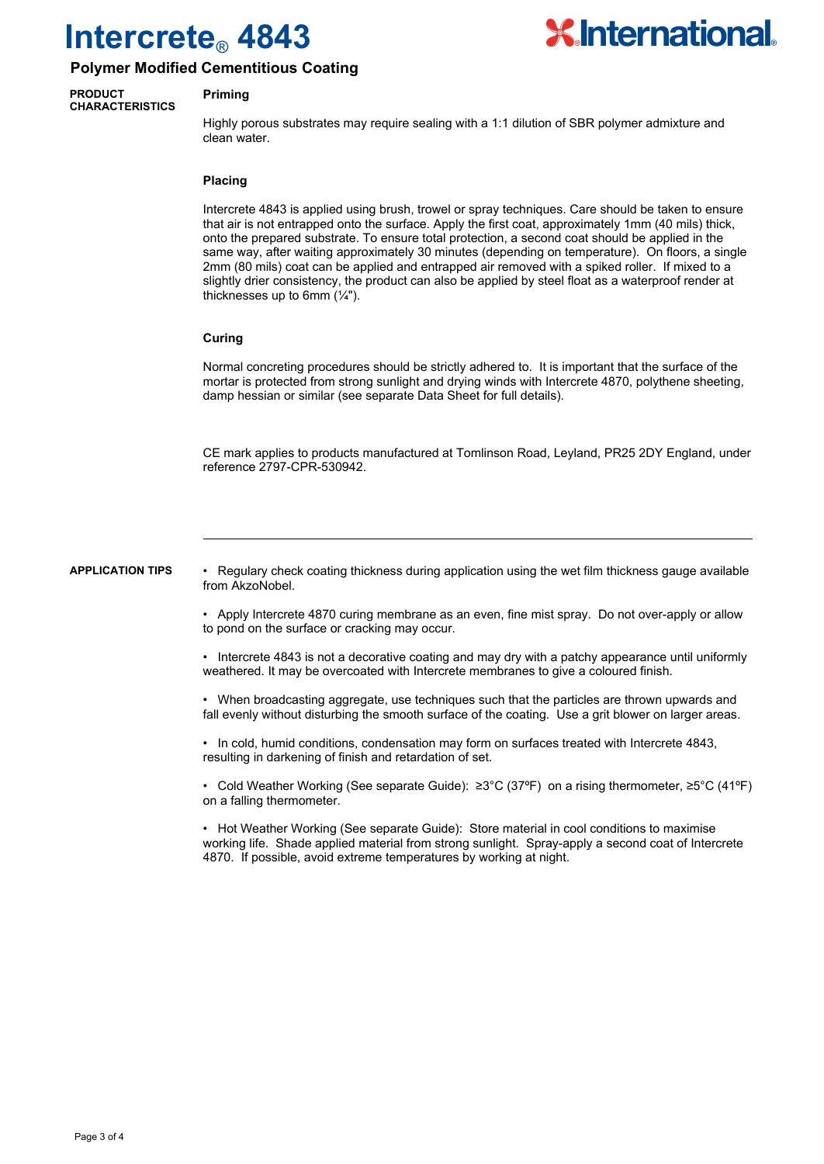

### **Polymer Modified Cementitious Coating**

#### **PRODUCT CHARACTERISTICS**

#### **Priming**

Highly porous substrates may require sealing with a 1:1 dilution of SBR polymer admixture and clean water.

#### **Placing**

Intercrete 4843 is applied using brush, trowel or spray techniques. Care should be taken to ensure that air is not entrapped onto the surface. Apply the first coat, approximately 1mm (40 mils) thick, onto the prepared substrate. To ensure total protection, a second coat should be applied in the same way, after waiting approximately 30 minutes (depending on temperature). On floors, a single 2mm (80 mils) coat can be applied and entrapped air removed with a spiked roller. If mixed to a slightly drier consistency, the product can also be applied by steel float as a waterproof render at thicknesses up to 6mm  $(\frac{1}{4})$ .

#### **Curing**

Normal concreting procedures should be strictly adhered to. It is important that the surface of the mortar is protected from strong sunlight and drying winds with Intercrete 4870, polythene sheeting, damp hessian or similar (see separate Data Sheet for full details).

CE mark applies to products manufactured at Tomlinson Road, Leyland, PR25 2DY England, under reference 2797-CPR-530942.

#### **APPLICATION TIPS**

• Regulary check coating thickness during application using the wet film thickness gauge available from AkzoNobel.

• Apply Intercrete 4870 curing membrane as an even, fine mist spray. Do not over-apply or allow to pond on the surface or cracking may occur.

• Intercrete 4843 is not a decorative coating and may dry with a patchy appearance until uniformly weathered. It may be overcoated with Intercrete membranes to give a coloured finish.

• When broadcasting aggregate, use techniques such that the particles are thrown upwards and fall evenly without disturbing the smooth surface of the coating. Use a grit blower on larger areas.

• In cold, humid conditions, condensation may form on surfaces treated with Intercrete 4843, resulting in darkening of finish and retardation of set.

• Cold Weather Working (See separate Guide): ≥3°C (37ºF) on a rising thermometer, ≥5°C (41ºF) on a falling thermometer.

• Hot Weather Working (See separate Guide): Store material in cool conditions to maximise working life. Shade applied material from strong sunlight. Spray-apply a second coat of Intercrete 4870. If possible, avoid extreme temperatures by working at night.